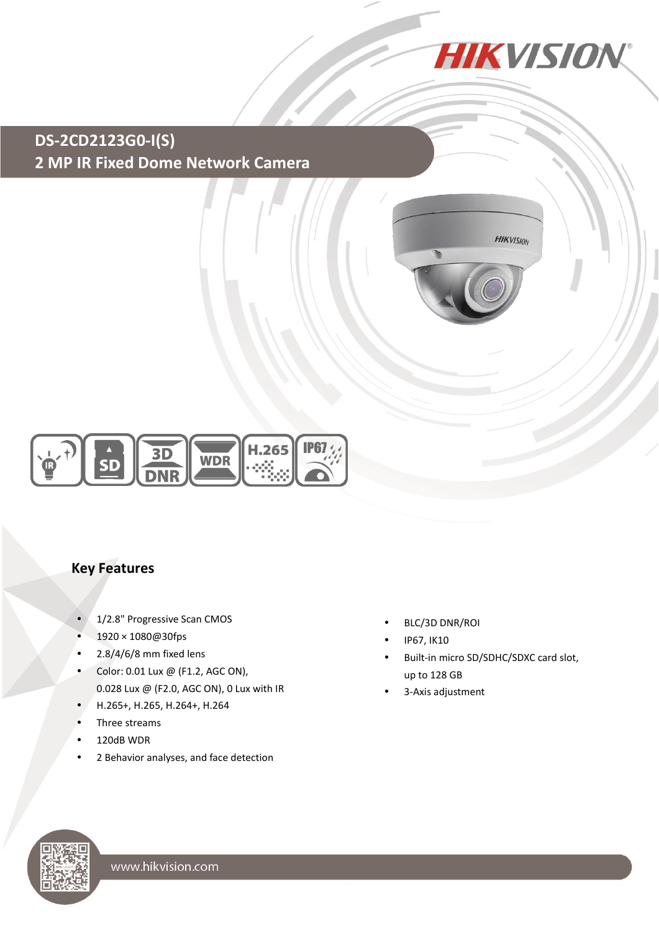

## **DS-2CD2123G0-I(S) 2 MP IR Fixed Dome Network Camera**





#### **Key Features**

- 1/2.8" Progressive Scan CMOS
- 1920 × 1080@30fps
- $\cdot$  2.8/4/6/8 mm fixed lens
- Color: 0.01 Lux @ (F1.2, AGC ON), 0.028 Lux @ (F2.0, AGC ON), 0 Lux with IR
- H.265+, H.265, H.264+, H.264
- Three streams
- 120dB WDR
- 2 Behavior analyses, and face detection
- BLC/3D DNR/ROI
- IP67, IK10
- Built-in micro SD/SDHC/SDXC card slot, up to 128 GB
- 3-Axis adjustment

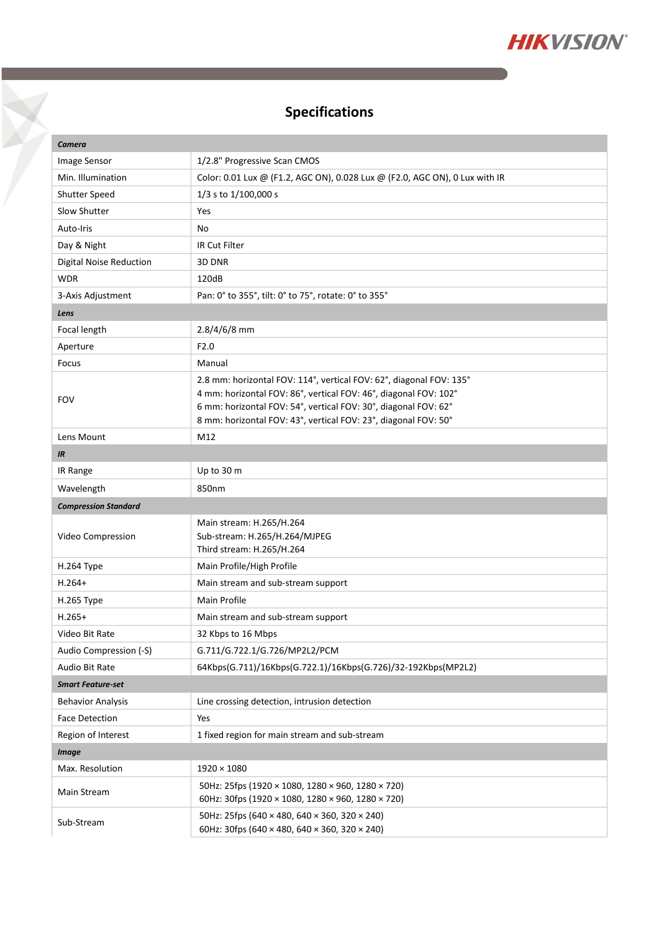

# **Specifications**

X

| Camera                         |                                                                                                                                                                                                                                                                               |  |  |
|--------------------------------|-------------------------------------------------------------------------------------------------------------------------------------------------------------------------------------------------------------------------------------------------------------------------------|--|--|
| <b>Image Sensor</b>            | 1/2.8" Progressive Scan CMOS                                                                                                                                                                                                                                                  |  |  |
| Min. Illumination              | Color: 0.01 Lux @ (F1.2, AGC ON), 0.028 Lux @ (F2.0, AGC ON), 0 Lux with IR                                                                                                                                                                                                   |  |  |
| Shutter Speed                  | 1/3 s to 1/100,000 s                                                                                                                                                                                                                                                          |  |  |
| Slow Shutter                   | Yes                                                                                                                                                                                                                                                                           |  |  |
| Auto-Iris                      | No                                                                                                                                                                                                                                                                            |  |  |
| Day & Night                    | IR Cut Filter                                                                                                                                                                                                                                                                 |  |  |
| <b>Digital Noise Reduction</b> | 3D DNR                                                                                                                                                                                                                                                                        |  |  |
| <b>WDR</b>                     | 120dB                                                                                                                                                                                                                                                                         |  |  |
| 3-Axis Adjustment              | Pan: 0° to 355°, tilt: 0° to 75°, rotate: 0° to 355°                                                                                                                                                                                                                          |  |  |
| Lens                           |                                                                                                                                                                                                                                                                               |  |  |
| Focal length                   | 2.8/4/6/8 mm                                                                                                                                                                                                                                                                  |  |  |
| Aperture                       | F2.0                                                                                                                                                                                                                                                                          |  |  |
| Focus                          | Manual                                                                                                                                                                                                                                                                        |  |  |
| <b>FOV</b>                     | 2.8 mm: horizontal FOV: 114°, vertical FOV: 62°, diagonal FOV: 135°<br>4 mm: horizontal FOV: 86°, vertical FOV: 46°, diagonal FOV: 102°<br>6 mm: horizontal FOV: 54°, vertical FOV: 30°, diagonal FOV: 62°<br>8 mm: horizontal FOV: 43°, vertical FOV: 23°, diagonal FOV: 50° |  |  |
| Lens Mount                     | M12                                                                                                                                                                                                                                                                           |  |  |
| IR                             |                                                                                                                                                                                                                                                                               |  |  |
| IR Range                       | Up to 30 m                                                                                                                                                                                                                                                                    |  |  |
| Wavelength                     | 850nm                                                                                                                                                                                                                                                                         |  |  |
| <b>Compression Standard</b>    |                                                                                                                                                                                                                                                                               |  |  |
| Video Compression              | Main stream: H.265/H.264<br>Sub-stream: H.265/H.264/MJPEG<br>Third stream: H.265/H.264                                                                                                                                                                                        |  |  |
| <b>H.264 Type</b>              | Main Profile/High Profile                                                                                                                                                                                                                                                     |  |  |
| $H.264+$                       | Main stream and sub-stream support                                                                                                                                                                                                                                            |  |  |
| H.265 Type                     | Main Profile                                                                                                                                                                                                                                                                  |  |  |
| $H.265+$                       | Main stream and sub-stream support                                                                                                                                                                                                                                            |  |  |
| Video Bit Rate                 | 32 Kbps to 16 Mbps                                                                                                                                                                                                                                                            |  |  |
| Audio Compression (-S)         | G.711/G.722.1/G.726/MP2L2/PCM                                                                                                                                                                                                                                                 |  |  |
| Audio Bit Rate                 | 64Kbps(G.711)/16Kbps(G.722.1)/16Kbps(G.726)/32-192Kbps(MP2L2)                                                                                                                                                                                                                 |  |  |
| <b>Smart Feature-set</b>       |                                                                                                                                                                                                                                                                               |  |  |
| <b>Behavior Analysis</b>       | Line crossing detection, intrusion detection                                                                                                                                                                                                                                  |  |  |
| <b>Face Detection</b>          | Yes                                                                                                                                                                                                                                                                           |  |  |
| Region of Interest             | 1 fixed region for main stream and sub-stream                                                                                                                                                                                                                                 |  |  |
| <b>Image</b>                   |                                                                                                                                                                                                                                                                               |  |  |
| Max. Resolution                | $1920 \times 1080$                                                                                                                                                                                                                                                            |  |  |
| Main Stream                    | 50Hz: 25fps (1920 × 1080, 1280 × 960, 1280 × 720)<br>60Hz: 30fps (1920 × 1080, 1280 × 960, 1280 × 720)                                                                                                                                                                        |  |  |
| Sub-Stream                     | 50Hz: 25fps (640 × 480, 640 × 360, 320 × 240)<br>60Hz: 30fps (640 × 480, 640 × 360, 320 × 240)                                                                                                                                                                                |  |  |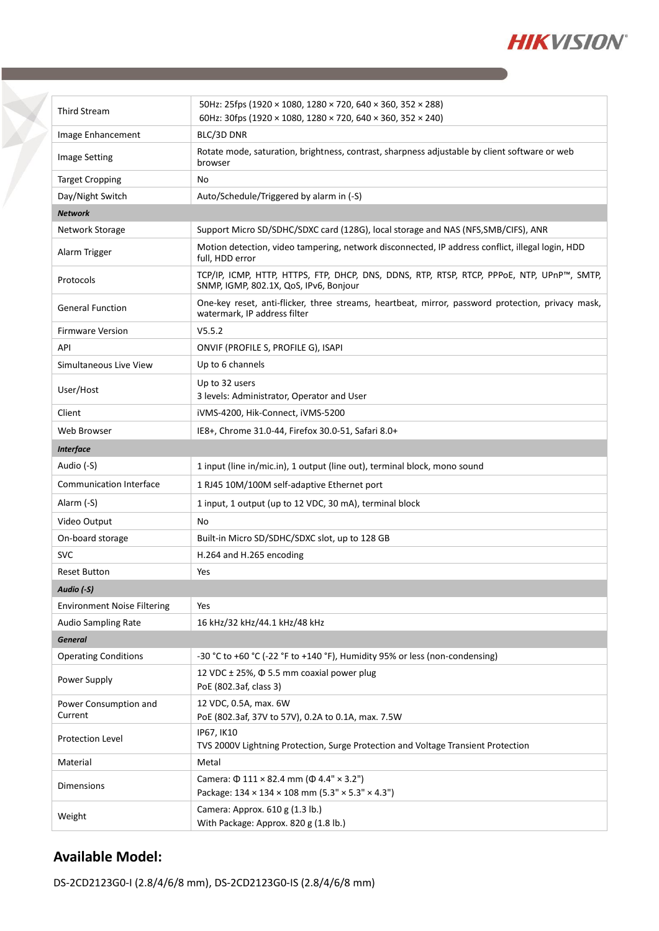

| <b>Third Stream</b>                | 50Hz: 25fps (1920 × 1080, 1280 × 720, 640 × 360, 352 × 288)<br>60Hz: 30fps (1920 × 1080, 1280 × 720, 640 × 360, 352 × 240)           |  |
|------------------------------------|--------------------------------------------------------------------------------------------------------------------------------------|--|
| Image Enhancement                  | BLC/3D DNR                                                                                                                           |  |
| <b>Image Setting</b>               | Rotate mode, saturation, brightness, contrast, sharpness adjustable by client software or web<br>browser                             |  |
| <b>Target Cropping</b>             | No                                                                                                                                   |  |
| Day/Night Switch                   | Auto/Schedule/Triggered by alarm in (-S)                                                                                             |  |
| <b>Network</b>                     |                                                                                                                                      |  |
| Network Storage                    | Support Micro SD/SDHC/SDXC card (128G), local storage and NAS (NFS, SMB/CIFS), ANR                                                   |  |
| Alarm Trigger                      | Motion detection, video tampering, network disconnected, IP address conflict, illegal login, HDD<br>full, HDD error                  |  |
| Protocols                          | TCP/IP, ICMP, HTTP, HTTPS, FTP, DHCP, DNS, DDNS, RTP, RTSP, RTCP, PPPoE, NTP, UPnP™, SMTP,<br>SNMP, IGMP, 802.1X, QoS, IPv6, Bonjour |  |
| <b>General Function</b>            | One-key reset, anti-flicker, three streams, heartbeat, mirror, password protection, privacy mask,<br>watermark, IP address filter    |  |
| <b>Firmware Version</b>            | V5.5.2                                                                                                                               |  |
| API                                | ONVIF (PROFILE S, PROFILE G), ISAPI                                                                                                  |  |
| Simultaneous Live View             | Up to 6 channels                                                                                                                     |  |
| User/Host                          | Up to 32 users<br>3 levels: Administrator, Operator and User                                                                         |  |
| Client                             | iVMS-4200, Hik-Connect, iVMS-5200                                                                                                    |  |
| Web Browser                        | IE8+, Chrome 31.0-44, Firefox 30.0-51, Safari 8.0+                                                                                   |  |
| <b>Interface</b>                   |                                                                                                                                      |  |
| Audio (-S)                         | 1 input (line in/mic.in), 1 output (line out), terminal block, mono sound                                                            |  |
| <b>Communication Interface</b>     | 1 RJ45 10M/100M self-adaptive Ethernet port                                                                                          |  |
| Alarm (-S)                         | 1 input, 1 output (up to 12 VDC, 30 mA), terminal block                                                                              |  |
| Video Output                       | No                                                                                                                                   |  |
| On-board storage                   | Built-in Micro SD/SDHC/SDXC slot, up to 128 GB                                                                                       |  |
| <b>SVC</b>                         | H.264 and H.265 encoding                                                                                                             |  |
| <b>Reset Button</b>                | Yes                                                                                                                                  |  |
| Audio (-S)                         |                                                                                                                                      |  |
| <b>Environment Noise Filtering</b> | Yes                                                                                                                                  |  |
| <b>Audio Sampling Rate</b>         | 16 kHz/32 kHz/44.1 kHz/48 kHz                                                                                                        |  |
| <b>General</b>                     |                                                                                                                                      |  |
| <b>Operating Conditions</b>        | -30 °C to +60 °C (-22 °F to +140 °F), Humidity 95% or less (non-condensing)                                                          |  |
| Power Supply                       | 12 VDC ± 25%, Φ 5.5 mm coaxial power plug<br>PoE (802.3af, class 3)                                                                  |  |
| Power Consumption and              | 12 VDC, 0.5A, max. 6W                                                                                                                |  |
| Current                            | PoE (802.3af, 37V to 57V), 0.2A to 0.1A, max. 7.5W                                                                                   |  |
| Protection Level                   | IP67, IK10<br>TVS 2000V Lightning Protection, Surge Protection and Voltage Transient Protection                                      |  |
| Material                           | Metal                                                                                                                                |  |
| <b>Dimensions</b>                  | Camera: $\Phi$ 111 × 82.4 mm ( $\Phi$ 4.4" × 3.2")<br>Package: 134 × 134 × 108 mm (5.3" × 5.3" × 4.3")                               |  |
| Weight                             | Camera: Approx. 610 g (1.3 lb.)<br>With Package: Approx. 820 g (1.8 lb.)                                                             |  |
|                                    |                                                                                                                                      |  |

#### **Available Model:**